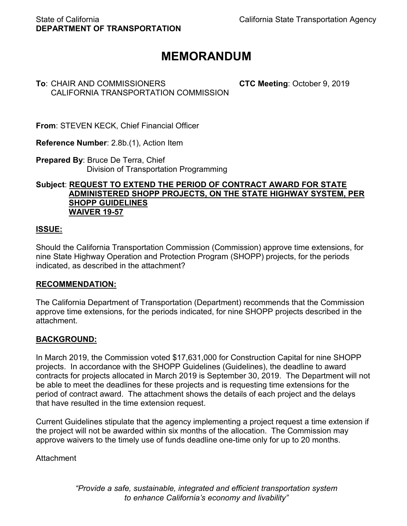# **MEMORANDUM**

# **To**: CHAIR AND COMMISSIONERS **CTC Meeting**: October 9, 2019 CALIFORNIA TRANSPORTATION COMMISSION

**From**: STEVEN KECK, Chief Financial Officer

**Reference Number**: 2.8b.(1), Action Item

**Prepared By**: Bruce De Terra, Chief Division of Transportation Programming

#### **Subject**: **REQUEST TO EXTEND THE PERIOD OF CONTRACT AWARD FOR STATE ADMINISTERED SHOPP PROJECTS, ON THE STATE HIGHWAY SYSTEM, PER SHOPP GUIDELINES WAIVER 19-57**

# **ISSUE:**

Should the California Transportation Commission (Commission) approve time extensions, for nine State Highway Operation and Protection Program (SHOPP) projects, for the periods indicated, as described in the attachment?

### **RECOMMENDATION:**

The California Department of Transportation (Department) recommends that the Commission approve time extensions, for the periods indicated, for nine SHOPP projects described in the attachment.

### **BACKGROUND:**

In March 2019, the Commission voted \$17,631,000 for Construction Capital for nine SHOPP projects. In accordance with the SHOPP Guidelines (Guidelines), the deadline to award contracts for projects allocated in March 2019 is September 30, 2019. The Department will not be able to meet the deadlines for these projects and is requesting time extensions for the period of contract award. The attachment shows the details of each project and the delays that have resulted in the time extension request.

Current Guidelines stipulate that the agency implementing a project request a time extension if the project will not be awarded within six months of the allocation. The Commission may approve waivers to the timely use of funds deadline one-time only for up to 20 months.

Attachment

*"Provide a safe, sustainable, integrated and efficient transportation system to enhance California's economy and livability"*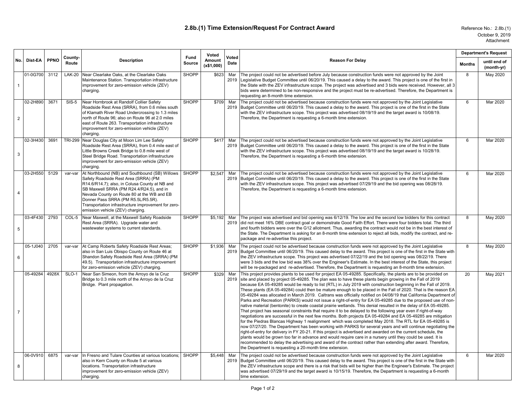#### **2.8b.(1) Time Extension/Request For Contract Award**

Reference No.: 2.8b.(1) Attachment October 9, 2019

#### **No. Dist-EA PPNO County-Route Description Fund Source Voted Amount (x\$1,000) Voted Date Reason For Delay Department's Request Months until end of (month-yr)** 1 01-0G700 3112 | LAK-20 Near Clearlake Oaks, at the Clearlake Oaks Maintenance Station. Transportation infrastructure improvement for zero-emission vehicle (ZEV) charging. SHOPP \$623 Mar 2019 The project could not be advertised before July because construction funds were not approved by the Joint Legislative Budget Committee until 06/20/19. This caused a delay to the award. This project is one of the first in the State with the ZEV infrastructure scope. The project was advertised and 3 bids were received. However, all 3 bids were determined to be non-responsive and the project must be re-advertised. Therefore, the Department is requesting an 8-month time extension. 8 | May 2020 2 02-2H890 3671 SIS-5 Near Hornbrook at Randolf Collier Safety Roadside Rest Area (SRRA), from 0.6 miles south of Klamath River Road Undercrossing to 1.3 miles north of Route 96; also on Route 96 at 2.0 miles east of Route 263. Transportation infrastructure improvement for zero-emission vehicle (ZEV) charging. SHOPP \$709 Mar 2019 Budget Committee until 06/20/19. This caused a delay to the award. This project is one of the first in the State The project could not be advertised because construction funds were not approved by the Joint Legislative with the ZEV infrastructure scope. This project was advertised 08/19/19 and the target award is 10/08/19. Therefore, the Department is requesting a 6-month time extension. 6 Mar 2020 3 02-3H430 3691 | TRI-299 Near Douglas City at Moon Lim Lee Safety Roadside Rest Area (SRRA), from 0.4 mile east of Little Browns Creek Bridge to 0.8 mile west of Steel Bridge Road. Transportation infrastructure improvement for zero-emission vehicle (ZEV) charging. SHOPP \$417 Mar 2019 Budget Committee until 06/20/19. This caused a delay to the award. This project is one of the first in the State The project could not be advertised because construction funds were not approved by the Joint Legislative with the ZEV infrastructure scope. This project was advertised 08/19/19 and the target award is 10/28/19. Therefore, the Department is requesting a 6-month time extension. 6 Mar 2020 4 03-2H550 5129 var-var At Northbound (NB) and Southbound (SB) Willows Safety Roadside Rest Area (SRRA) (PM R14.6/R14.7); also, in Colusa County at NB and SB Maxwell SRRA (PM R24.4/R24.5), and in Nevada County on Route 80 at the WB and EB Donner Pass SRRA (PM R5.5L/R5.5R). Transportation infrastructure improvement for zeroemission vehicle (ZEV) charging. SHOPP \$2,547 Mar 2019 The project could not be advertised because construction funds were not approved by the Joint Legislative Budget Committee until 06/20/19. This caused a delay to the award. This project is one of the first in the State with the ZEV infrastructure scope. This project was advertised 07/29/19 and the bid opening was 08/28/19. Therefore, the Department is requesting a 6-month time extension. 6 Mar 2020 5 03-4F430 2793 COL-5 Near Maxwell, at the Maxwell Safety Roadside Rest Area (SRRA). Upgrade water and wastewater systems to current standards. SHOPP \ \$5,192 Mar 2019 The project was advertised and bid opening was 6/12/19. The low and the second low bidders for this contract did not meet 16% DBE contract goal or demonstrate Good Faith Effort. There were four bidders total. The third and fourth bidders were over the G12 allotment. Thus, awarding the contract would not be in the best interest of the State. The Department is asking for an 8-month time extension to reject all bids, modify the contract, and repackage and re-advertise this project. 8 May 2020 6 05-1J040 2705 var-var At Camp Roberts Safety Roadside Rest Areas; also in San Luis Obispo County on Route 46 at Shandon Safety Roadside Rest Area (SRRA) (PM 49.5). Transportation infrastructure improvement for zero-emission vehicle (ZEV) charging. SHOPP \$1,936 Mar 2019 The project could not be advertised because construction funds were not approved by the Joint Legislative Budget Committee until 06/20/19. This caused delay to the award. This project is one of the first in the State with the ZEV infrastructure scope. This project was advertised 07/22/19 and the bid opening was 08/22/19. There were 3 bids and the low bid was 38% over the Engineer's Estimate. In the best interest of the State, this project will be re-packaged and re-advertised. Therefore, the Department is requesting an 8-month time extension. 8 | May 2020 7 05-49284 4928X SLO-1 Near San Simeon, from the Arroyo de la Cruz Bridge to 0.3 mile north of the Arroyo de la Cruz Bridge. Plant propagation. SHOPP \$329 Mar 2019 This project provides plants to be used for project EA 05-49285. Specifically, the plants are to be provided on site and placed by project 05-49285. The plan was to have these plants begin growing in the Fall of 2019 because EA 05-49285 would be ready to list (RTL) in July 2019 with construction beginning in the Fall of 2019. These plants (EA 05-49284) could then be mature enough to be placed in the Fall of 2020. That is the reason EA 05-49284 was allocated in March 2019. Caltrans was officially notified on 04/08/19 that California Department of Parks and Recreation (PARKS) would not issue a right-of-entry for EA 05-49285 due to the proposed use of nonnative material (bentonite) to create coastal prairie wetlands. This denial resulted in the delay of EA 05-49285. That project has seasonal constraints that require it to be delayed to the following year even if right-of-way negotiations are successful in the next few months. Both projects EA 05-49284 and EA 05-49285 are mitigation for the Piedras Blancas Highway 1 realignment which was completed May 2018. The RTL for EA 05-49285 is now 07/27/20. The Department has been working with PARKS for several years and will continue negotiating the right-of-entry for delivery in FY 20-21. If this project is advertised and awarded on the current schedule, the plants would be grown too far in advance and would require care in a nursery until they could be used. It is recommended to delay the advertising and award of the contract rather than extending after award. Therefore, the Department is requesting a 20-month time extension. 20 | May 2021 8 06-0V910 6875 var-var In Fresno and Tulare Counties at various locations: also in Kern County on Route 5 at various locations. Transportation infrastructure improvement for zero-emission vehicle (ZEV) charging. SHOPP \$5,448 Mar 2019 Budget Committee until 06/20/19. This caused delay to the award. This project is one of the first in the State with The project could not be advertised because construction funds were not approved by the Joint Legislative the ZEV infrastructure scope and there is a risk that bids will be higher than the Engineer's Estimate. The project was advertised 07/29/19 and the target award is 10/15/19. Therefore, the Department is requesting a 6-month time extension. 6 Mar 2020